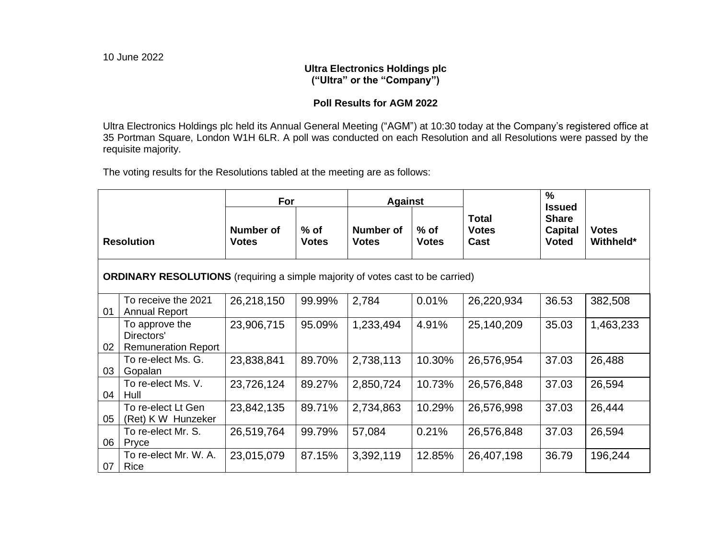## **Ultra Electronics Holdings plc ("Ultra" or the "Company")**

# **Poll Results for AGM 2022**

Ultra Electronics Holdings plc held its Annual General Meeting ("AGM") at 10:30 today at the Company's registered office at 35 Portman Square, London W1H 6LR. A poll was conducted on each Resolution and all Resolutions were passed by the requisite majority.

The voting results for the Resolutions tabled at the meeting are as follows:

|                                                                                       |                                                            | For                              |                        | <b>Against</b>                   |                        |                                      | $\frac{0}{0}$<br><b>Issued</b>                 |                           |  |  |  |  |
|---------------------------------------------------------------------------------------|------------------------------------------------------------|----------------------------------|------------------------|----------------------------------|------------------------|--------------------------------------|------------------------------------------------|---------------------------|--|--|--|--|
| <b>Resolution</b>                                                                     |                                                            | <b>Number of</b><br><b>Votes</b> | $%$ of<br><b>Votes</b> | <b>Number of</b><br><b>Votes</b> | $%$ of<br><b>Votes</b> | <b>Total</b><br><b>Votes</b><br>Cast | <b>Share</b><br><b>Capital</b><br><b>Voted</b> | <b>Votes</b><br>Withheld* |  |  |  |  |
| <b>ORDINARY RESOLUTIONS</b> (requiring a simple majority of votes cast to be carried) |                                                            |                                  |                        |                                  |                        |                                      |                                                |                           |  |  |  |  |
| 01                                                                                    | To receive the 2021<br><b>Annual Report</b>                | 26,218,150                       | 99.99%                 | 2,784                            | 0.01%                  | 26,220,934                           | 36.53                                          | 382,508                   |  |  |  |  |
| 02                                                                                    | To approve the<br>Directors'<br><b>Remuneration Report</b> | 23,906,715                       | 95.09%                 | 1,233,494                        | 4.91%                  | 25,140,209                           | 35.03                                          | 1,463,233                 |  |  |  |  |
| 03                                                                                    | To re-elect Ms. G.<br>Gopalan                              | 23,838,841                       | 89.70%                 | 2,738,113                        | 10.30%                 | 26,576,954                           | 37.03                                          | 26,488                    |  |  |  |  |
| 04                                                                                    | To re-elect Ms. V.<br>Hull                                 | 23,726,124                       | 89.27%                 | 2,850,724                        | 10.73%                 | 26,576,848                           | 37.03                                          | 26,594                    |  |  |  |  |
| 05                                                                                    | To re-elect Lt Gen<br>(Ret) K W Hunzeker                   | 23,842,135                       | 89.71%                 | 2,734,863                        | 10.29%                 | 26,576,998                           | 37.03                                          | 26,444                    |  |  |  |  |
| 06                                                                                    | To re-elect Mr. S.<br>Pryce                                | 26,519,764                       | 99.79%                 | 57,084                           | 0.21%                  | 26,576,848                           | 37.03                                          | 26,594                    |  |  |  |  |
| 07                                                                                    | To re-elect Mr. W. A.<br>Rice                              | 23,015,079                       | 87.15%                 | 3,392,119                        | 12.85%                 | 26,407,198                           | 36.79                                          | 196,244                   |  |  |  |  |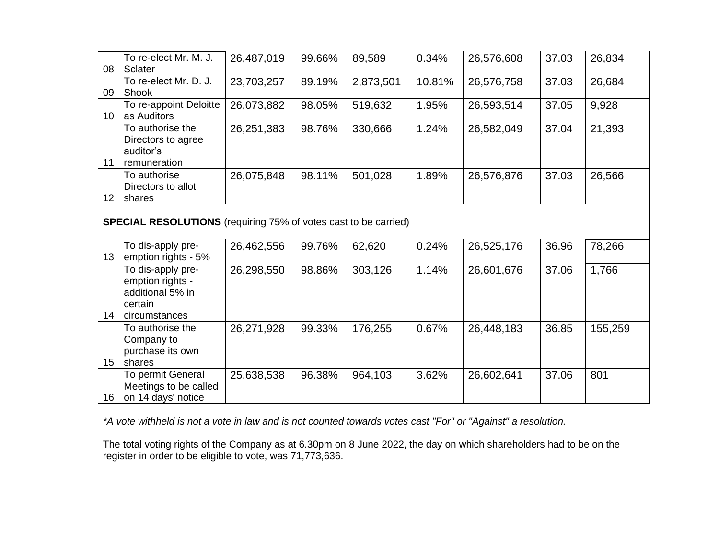| 08                                                                     | To re-elect Mr. M. J.<br>Sclater                                                      | 26,487,019 | 99.66% | 89,589    | 0.34%  | 26,576,608 | 37.03 | 26,834  |  |  |
|------------------------------------------------------------------------|---------------------------------------------------------------------------------------|------------|--------|-----------|--------|------------|-------|---------|--|--|
| 09                                                                     | To re-elect Mr. D. J.<br>Shook                                                        | 23,703,257 | 89.19% | 2,873,501 | 10.81% | 26,576,758 | 37.03 | 26,684  |  |  |
| 10 <sup>°</sup>                                                        | To re-appoint Deloitte<br>as Auditors                                                 | 26,073,882 | 98.05% | 519,632   | 1.95%  | 26,593,514 | 37.05 | 9,928   |  |  |
| 11                                                                     | To authorise the<br>Directors to agree<br>auditor's<br>remuneration                   | 26,251,383 | 98.76% | 330,666   | 1.24%  | 26,582,049 | 37.04 | 21,393  |  |  |
| 12 <sup>2</sup>                                                        | To authorise<br>Directors to allot<br>shares                                          | 26,075,848 | 98.11% | 501,028   | 1.89%  | 26,576,876 | 37.03 | 26,566  |  |  |
| <b>SPECIAL RESOLUTIONS</b> (requiring 75% of votes cast to be carried) |                                                                                       |            |        |           |        |            |       |         |  |  |
| 13 <sup>°</sup>                                                        | To dis-apply pre-<br>emption rights - 5%                                              | 26,462,556 | 99.76% | 62,620    | 0.24%  | 26,525,176 | 36.96 | 78,266  |  |  |
| 14                                                                     | To dis-apply pre-<br>emption rights -<br>additional 5% in<br>certain<br>circumstances | 26,298,550 | 98.86% | 303,126   | 1.14%  | 26,601,676 | 37.06 | 1,766   |  |  |
| 15 <sub>15</sub>                                                       | To authorise the<br>Company to<br>purchase its own<br>shares                          | 26,271,928 | 99.33% | 176,255   | 0.67%  | 26,448,183 | 36.85 | 155,259 |  |  |
| 16 <sup>°</sup>                                                        | To permit General<br>Meetings to be called<br>on 14 days' notice                      | 25,638,538 | 96.38% | 964,103   | 3.62%  | 26,602,641 | 37.06 | 801     |  |  |

*\*A vote withheld is not a vote in law and is not counted towards votes cast "For" or "Against" a resolution.* 

The total voting rights of the Company as at 6.30pm on 8 June 2022, the day on which shareholders had to be on the register in order to be eligible to vote, was 71,773,636.